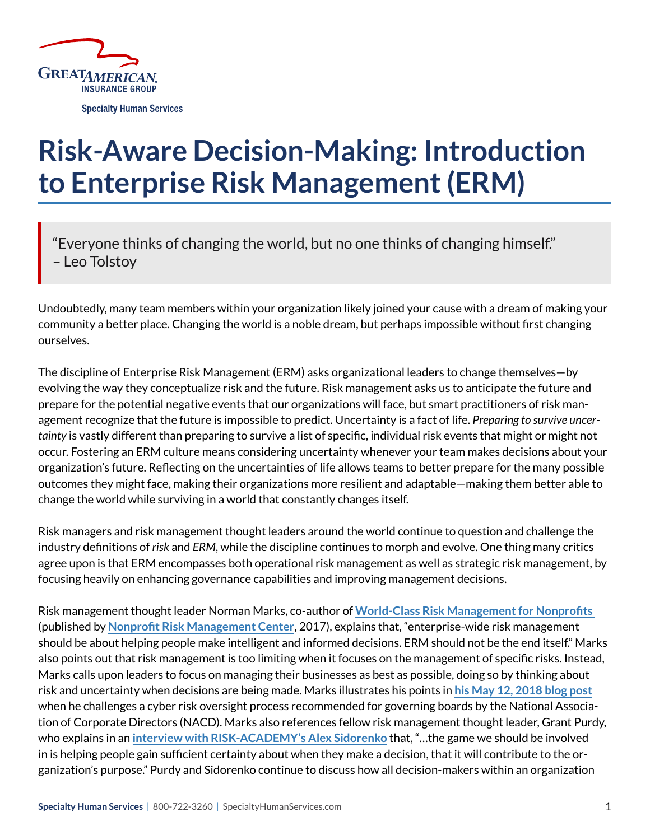

## **Risk-Aware Decision-Making: Introduction to Enterprise Risk Management (ERM)**

"Everyone thinks of changing the world, but no one thinks of changing himself." – Leo Tolstoy

Undoubtedly, many team members within your organization likely joined your cause with a dream of making your community a better place. Changing the world is a noble dream, but perhaps impossible without first changing ourselves.

The discipline of Enterprise Risk Management (ERM) asks organizational leaders to change themselves—by evolving the way they conceptualize risk and the future. Risk management asks us to anticipate the future and prepare for the potential negative events that our organizations will face, but smart practitioners of risk management recognize that the future is impossible to predict. Uncertainty is a fact of life. *Preparing to survive uncertainty* is vastly different than preparing to survive a list of specific, individual risk events that might or might not occur. Fostering an ERM culture means considering uncertainty whenever your team makes decisions about your organization's future. Reflecting on the uncertainties of life allows teams to better prepare for the many possible outcomes they might face, making their organizations more resilient and adaptable—making them better able to change the world while surviving in a world that constantly changes itself.

Risk managers and risk management thought leaders around the world continue to question and challenge the industry definitions of *risk* and *ERM*, while the discipline continues to morph and evolve. One thing many critics agree upon is that ERM encompasses both operational risk management as well as strategic risk management, by focusing heavily on enhancing governance capabilities and improving management decisions.

Risk management thought leader Norman Marks, co-author of **[World-Class Risk Management for Nonprofits](https://nonprofitrisk.org/products/world-class-risk-management-for-nonprofits/)**  (published by **[Nonprofit Risk Management Center](https://nonprofitrisk.org/)**, 2017), explains that, "enterprise-wide risk management should be about helping people make intelligent and informed decisions. ERM should not be the end itself." Marks also points out that risk management is too limiting when it focuses on the management of specific risks. Instead, Marks calls upon leaders to focus on managing their businesses as best as possible, doing so by thinking about risk and uncertainty when decisions are being made. Marks illustrates his points in **[his May 12, 2018 blog post](https://normanmarks.wordpress.com/2018/05/12/are-you-managing-risk-or-are-you-managing-the-organization/)** when he challenges a cyber risk oversight process recommended for governing boards by the National Association of Corporate Directors (NACD). Marks also references fellow risk management thought leader, Grant Purdy, who explains in an **[interview with RISK-ACADEMY's Alex Sidorenko](https://riskacademy.blog/the-most-amazing-risk-management-interview-ever/)** that, "…the game we should be involved in is helping people gain sufficient certainty about when they make a decision, that it will contribute to the organization's purpose." Purdy and Sidorenko continue to discuss how all decision-makers within an organization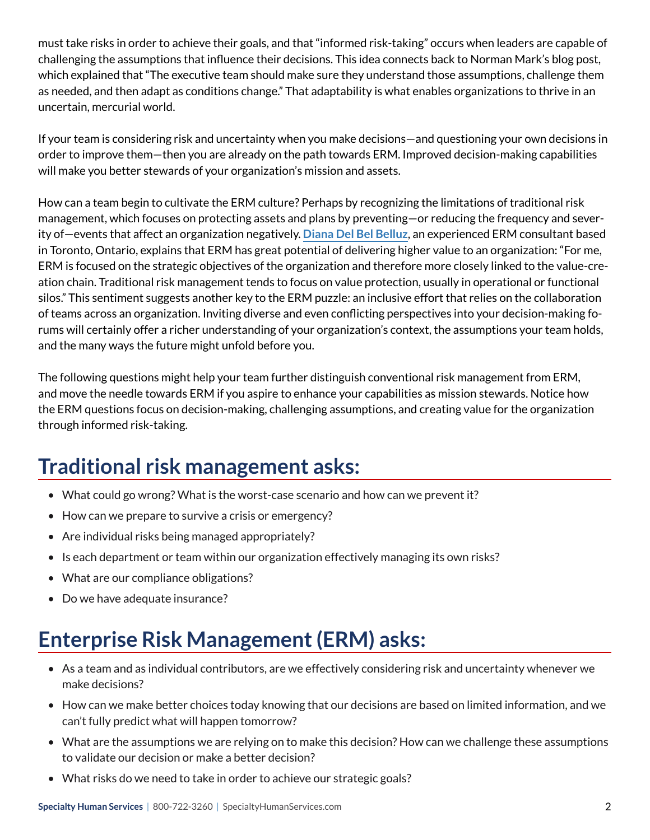must take risks in order to achieve their goals, and that "informed risk-taking" occurs when leaders are capable of challenging the assumptions that influence their decisions. This idea connects back to Norman Mark's blog post, which explained that "The executive team should make sure they understand those assumptions, challenge them as needed, and then adapt as conditions change." That adaptability is what enables organizations to thrive in an uncertain, mercurial world.

If your team is considering risk and uncertainty when you make decisions—and questioning your own decisions in order to improve them—then you are already on the path towards ERM. Improved decision-making capabilities will make you better stewards of your organization's mission and assets.

How can a team begin to cultivate the ERM culture? Perhaps by recognizing the limitations of traditional risk management, which focuses on protecting assets and plans by preventing—or reducing the frequency and severity of—events that affect an organization negatively. **[Diana Del Bel Belluz](http://www.riskwise.ca/)**, an experienced ERM consultant based in Toronto, Ontario, explains that ERM has great potential of delivering higher value to an organization: "For me, ERM is focused on the strategic objectives of the organization and therefore more closely linked to the value-creation chain. Traditional risk management tends to focus on value protection, usually in operational or functional silos." This sentiment suggests another key to the ERM puzzle: an inclusive effort that relies on the collaboration of teams across an organization. Inviting diverse and even conflicting perspectives into your decision-making forums will certainly offer a richer understanding of your organization's context, the assumptions your team holds, and the many ways the future might unfold before you.

The following questions might help your team further distinguish conventional risk management from ERM, and move the needle towards ERM if you aspire to enhance your capabilities as mission stewards. Notice how the ERM questions focus on decision-making, challenging assumptions, and creating value for the organization through informed risk-taking.

## **Traditional risk management asks:**

- What could go wrong? What is the worst-case scenario and how can we prevent it?
- How can we prepare to survive a crisis or emergency?
- Are individual risks being managed appropriately?
- Is each department or team within our organization effectively managing its own risks?
- What are our compliance obligations?
- Do we have adequate insurance?

## **Enterprise Risk Management (ERM) asks:**

- As a team and as individual contributors, are we effectively considering risk and uncertainty whenever we make decisions?
- How can we make better choices today knowing that our decisions are based on limited information, and we can't fully predict what will happen tomorrow?
- What are the assumptions we are relying on to make this decision? How can we challenge these assumptions to validate our decision or make a better decision?
- What risks do we need to take in order to achieve our strategic goals?